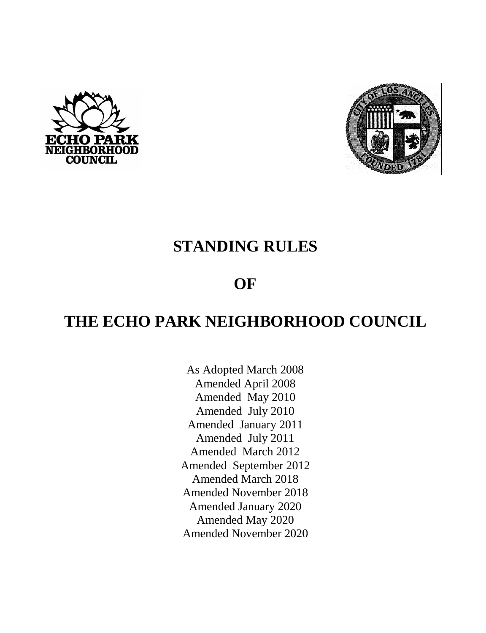



# **STANDING RULES**

# **OF**

# **THE ECHO PARK NEIGHBORHOOD COUNCIL**

As Adopted March 2008 Amended April 2008 Amended May 2010 Amended July 2010 Amended January 2011 Amended July 2011 Amended March 2012 Amended September 2012 Amended March 2018 Amended November 2018 Amended January 2020 Amended May 2020 Amended November 2020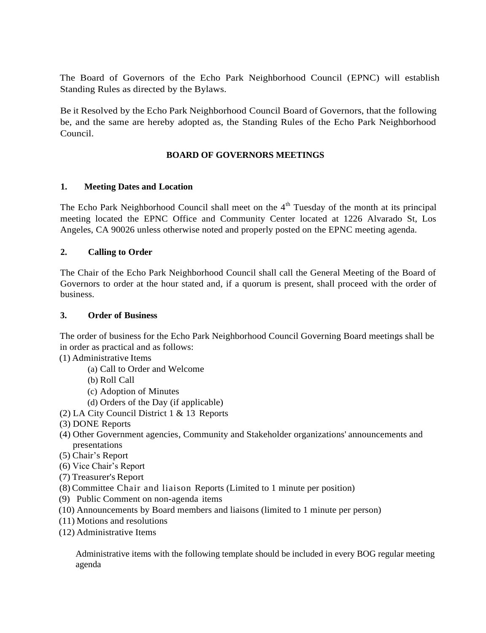The Board of Governors of the Echo Park Neighborhood Council (EPNC) will establish Standing Rules as directed by the Bylaws.

Be it Resolved by the Echo Park Neighborhood Council Board of Governors, that the following be, and the same are hereby adopted as, the Standing Rules of the Echo Park Neighborhood Council.

# **BOARD OF GOVERNORS MEETINGS**

## **1. Meeting Dates and Location**

The Echo Park Neighborhood Council shall meet on the  $4<sup>th</sup>$  Tuesday of the month at its principal meeting located the EPNC Office and Community Center located at 1226 Alvarado St, Los Angeles, CA 90026 unless otherwise noted and properly posted on the EPNC meeting agenda.

## **2. Calling to Order**

The Chair of the Echo Park Neighborhood Council shall call the General Meeting of the Board of Governors to order at the hour stated and, if a quorum is present, shall proceed with the order of business.

#### **3. Order of Business**

The order of business for the Echo Park Neighborhood Council Governing Board meetings shall be in order as practical and as follows:

(1) Administrative Items

- (a) Call to Order and Welcome
- (b) Roll Call
- (c) Adoption of Minutes
- (d) Orders of the Day (if applicable)
- (2) LA City Council District 1 & 13 Reports
- (3) DONE Reports
- (4) Other Government agencies, Community and Stakeholder organizations' announcements and presentations
- (5) Chair's Report
- (6) Vice Chair's Report
- (7) Treasurer's Report
- (8) Committee Chair and liaison Reports (Limited to 1 minute per position)
- (9) Public Comment on non-agenda items
- (10) Announcements by Board members and liaisons (limited to 1 minute per person)
- (11) Motions and resolutions
- (12) Administrative Items

Administrative items with the following template should be included in every BOG regular meeting agenda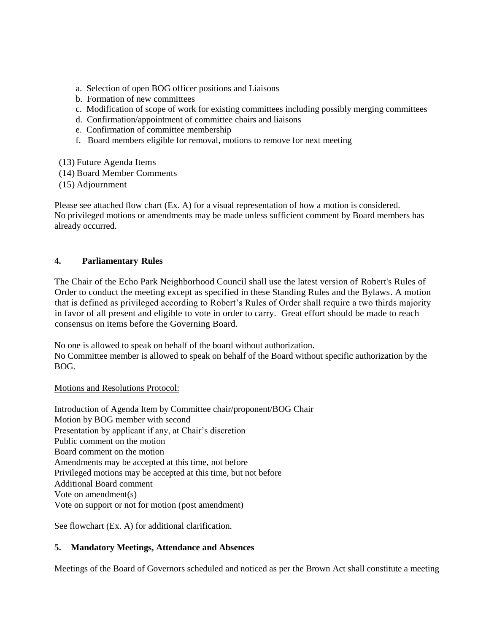- a. Selection of open BOG officer positions and Liaisons
- b. Formation of new committees
- c. Modification of scope of work for existing committees including possibly merging committees
- d. Confirmation/appointment of committee chairs and liaisons
- e. Confirmation of committee membership
- f. Board members eligible for removal, motions to remove for next meeting
- (13) Future Agenda Items
- (14) Board Member Comments
- (15) Adjournment

Please see attached flow chart (Ex. A) for a visual representation of how a motion is considered. No privileged motions or amendments may be made unless sufficient comment by Board members has already occurred.

## **4. Parliamentary Rules**

The Chair of the Echo Park Neighborhood Council shall use the latest version of Robert's Rules of Order to conduct the meeting except as specified in these Standing Rules and the Bylaws. A motion that is defined as privileged according to Robert's Rules of Order shall require a two thirds majority in favor of all present and eligible to vote in order to carry. Great effort should be made to reach consensus on items before the Governing Board.

No one is allowed to speak on behalf of the board without authorization. No Committee member is allowed to speak on behalf of the Board without specific authorization by the BOG.

## Motions and Resolutions Protocol:

Introduction of Agenda Item by Committee chair/proponent/BOG Chair Motion by BOG member with second Presentation by applicant if any, at Chair's discretion Public comment on the motion Board comment on the motion Amendments may be accepted at this time, not before Privileged motions may be accepted at this time, but not before Additional Board comment Vote on amendment(s) Vote on support or not for motion (post amendment)

See flowchart (Ex. A) for additional clarification.

# **5. Mandatory Meetings, Attendance and Absences**

Meetings of the Board of Governors scheduled and noticed as per the Brown Act shall constitute a meeting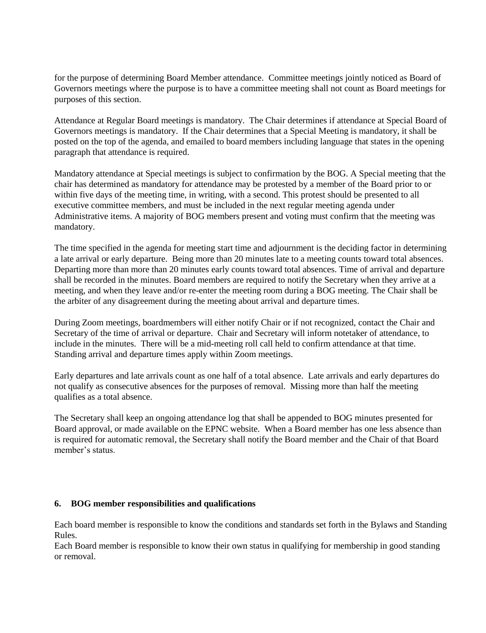for the purpose of determining Board Member attendance. Committee meetings jointly noticed as Board of Governors meetings where the purpose is to have a committee meeting shall not count as Board meetings for purposes of this section.

Attendance at Regular Board meetings is mandatory. The Chair determines if attendance at Special Board of Governors meetings is mandatory. If the Chair determines that a Special Meeting is mandatory, it shall be posted on the top of the agenda, and emailed to board members including language that states in the opening paragraph that attendance is required.

Mandatory attendance at Special meetings is subject to confirmation by the BOG. A Special meeting that the chair has determined as mandatory for attendance may be protested by a member of the Board prior to or within five days of the meeting time, in writing, with a second. This protest should be presented to all executive committee members, and must be included in the next regular meeting agenda under Administrative items. A majority of BOG members present and voting must confirm that the meeting was mandatory.

The time specified in the agenda for meeting start time and adjournment is the deciding factor in determining a late arrival or early departure. Being more than 20 minutes late to a meeting counts toward total absences. Departing more than more than 20 minutes early counts toward total absences. Time of arrival and departure shall be recorded in the minutes. Board members are required to notify the Secretary when they arrive at a meeting, and when they leave and/or re-enter the meeting room during a BOG meeting. The Chair shall be the arbiter of any disagreement during the meeting about arrival and departure times.

During Zoom meetings, boardmembers will either notify Chair or if not recognized, contact the Chair and Secretary of the time of arrival or departure. Chair and Secretary will inform notetaker of attendance, to include in the minutes. There will be a mid-meeting roll call held to confirm attendance at that time. Standing arrival and departure times apply within Zoom meetings.

Early departures and late arrivals count as one half of a total absence. Late arrivals and early departures do not qualify as consecutive absences for the purposes of removal. Missing more than half the meeting qualifies as a total absence.

The Secretary shall keep an ongoing attendance log that shall be appended to BOG minutes presented for Board approval, or made available on the EPNC website. When a Board member has one less absence than is required for automatic removal, the Secretary shall notify the Board member and the Chair of that Board member's status.

#### **6. BOG member responsibilities and qualifications**

Each board member is responsible to know the conditions and standards set forth in the Bylaws and Standing Rules.

Each Board member is responsible to know their own status in qualifying for membership in good standing or removal.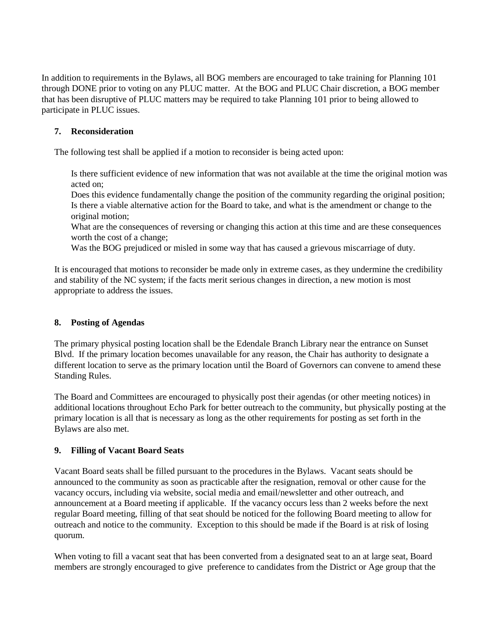In addition to requirements in the Bylaws, all BOG members are encouraged to take training for Planning 101 through DONE prior to voting on any PLUC matter. At the BOG and PLUC Chair discretion, a BOG member that has been disruptive of PLUC matters may be required to take Planning 101 prior to being allowed to participate in PLUC issues.

# **7. Reconsideration**

The following test shall be applied if a motion to reconsider is being acted upon:

Is there sufficient evidence of new information that was not available at the time the original motion was acted on;

Does this evidence fundamentally change the position of the community regarding the original position; Is there a viable alternative action for the Board to take, and what is the amendment or change to the original motion;

What are the consequences of reversing or changing this action at this time and are these consequences worth the cost of a change;

Was the BOG prejudiced or misled in some way that has caused a grievous miscarriage of duty.

It is encouraged that motions to reconsider be made only in extreme cases, as they undermine the credibility and stability of the NC system; if the facts merit serious changes in direction, a new motion is most appropriate to address the issues.

## **8. Posting of Agendas**

The primary physical posting location shall be the Edendale Branch Library near the entrance on Sunset Blvd. If the primary location becomes unavailable for any reason, the Chair has authority to designate a different location to serve as the primary location until the Board of Governors can convene to amend these Standing Rules.

The Board and Committees are encouraged to physically post their agendas (or other meeting notices) in additional locations throughout Echo Park for better outreach to the community, but physically posting at the primary location is all that is necessary as long as the other requirements for posting as set forth in the Bylaws are also met.

## **9. Filling of Vacant Board Seats**

Vacant Board seats shall be filled pursuant to the procedures in the Bylaws. Vacant seats should be announced to the community as soon as practicable after the resignation, removal or other cause for the vacancy occurs, including via website, social media and email/newsletter and other outreach, and announcement at a Board meeting if applicable. If the vacancy occurs less than 2 weeks before the next regular Board meeting, filling of that seat should be noticed for the following Board meeting to allow for outreach and notice to the community. Exception to this should be made if the Board is at risk of losing quorum.

When voting to fill a vacant seat that has been converted from a designated seat to an at large seat, Board members are strongly encouraged to give preference to candidates from the District or Age group that the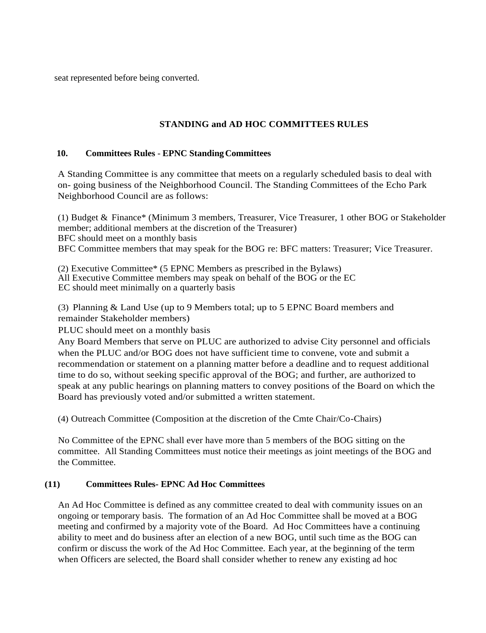seat represented before being converted.

# **STANDING and AD HOC COMMITTEES RULES**

#### 10. **Committees Rules - EPNC Standing Committees**

A Standing Committee is any committee that meets on a regularly scheduled basis to deal with on- going business of the Neighborhood Council. The Standing Committees of the Echo Park Neighborhood Council are as follows:

(1) Budget & Finance\* (Minimum 3 members, Treasurer, Vice Treasurer, 1 other BOG or Stakeholder member; additional members at the discretion of the Treasurer) BFC should meet on a monthly basis BFC Committee members that may speak for the BOG re: BFC matters: Treasurer; Vice Treasurer.

(2) Executive Committee\* (5 EPNC Members as prescribed in the Bylaws) All Executive Committee members may speak on behalf of the BOG or the EC EC should meet minimally on a quarterly basis

(3) Planning & Land Use (up to 9 Members total; up to 5 EPNC Board members and remainder Stakeholder members)

PLUC should meet on a monthly basis

Any Board Members that serve on PLUC are authorized to advise City personnel and officials when the PLUC and/or BOG does not have sufficient time to convene, vote and submit a recommendation or statement on a planning matter before a deadline and to request additional time to do so, without seeking specific approval of the BOG; and further, are authorized to speak at any public hearings on planning matters to convey positions of the Board on which the Board has previously voted and/or submitted a written statement.

(4) Outreach Committee (Composition at the discretion of the Cmte Chair/Co-Chairs)

No Committee of the EPNC shall ever have more than 5 members of the BOG sitting on the committee. All Standing Committees must notice their meetings as joint meetings of the BOG and the Committee.

#### **(11) Committees Rules- EPNC Ad Hoc Committees**

An Ad Hoc Committee is defined as any committee created to deal with community issues on an ongoing or temporary basis. The formation of an Ad Hoc Committee shall be moved at a BOG meeting and confirmed by a majority vote of the Board. Ad Hoc Committees have a continuing ability to meet and do business after an election of a new BOG, until such time as the BOG can confirm or discuss the work of the Ad Hoc Committee. Each year, at the beginning of the term when Officers are selected, the Board shall consider whether to renew any existing ad hoc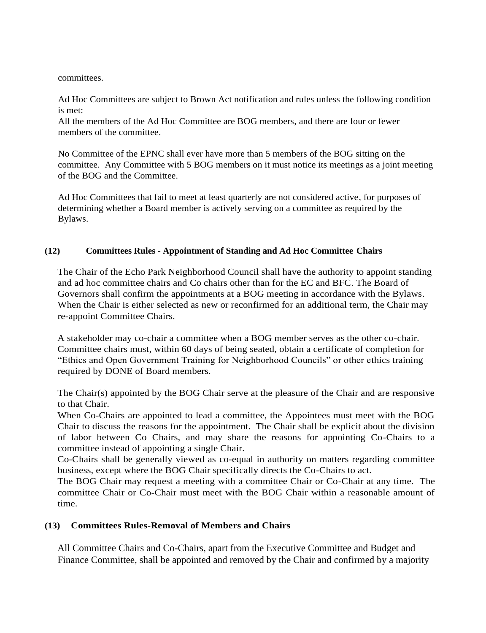committees.

Ad Hoc Committees are subject to Brown Act notification and rules unless the following condition is met:

All the members of the Ad Hoc Committee are BOG members, and there are four or fewer members of the committee.

No Committee of the EPNC shall ever have more than 5 members of the BOG sitting on the committee. Any Committee with 5 BOG members on it must notice its meetings as a joint meeting of the BOG and the Committee.

Ad Hoc Committees that fail to meet at least quarterly are not considered active, for purposes of determining whether a Board member is actively serving on a committee as required by the Bylaws.

## **(12) Committees Rules** - **Appointment of Standing and Ad Hoc Committee Chairs**

The Chair of the Echo Park Neighborhood Council shall have the authority to appoint standing and ad hoc committee chairs and Co chairs other than for the EC and BFC. The Board of Governors shall confirm the appointments at a BOG meeting in accordance with the Bylaws. When the Chair is either selected as new or reconfirmed for an additional term, the Chair may re-appoint Committee Chairs.

A stakeholder may co-chair a committee when a BOG member serves as the other co-chair. Committee chairs must, within 60 days of being seated, obtain a certificate of completion for "Ethics and Open Government Training for Neighborhood Councils" or other ethics training required by DONE of Board members.

The Chair(s) appointed by the BOG Chair serve at the pleasure of the Chair and are responsive to that Chair.

When Co-Chairs are appointed to lead a committee, the Appointees must meet with the BOG Chair to discuss the reasons for the appointment. The Chair shall be explicit about the division of labor between Co Chairs, and may share the reasons for appointing Co-Chairs to a committee instead of appointing a single Chair.

Co-Chairs shall be generally viewed as co-equal in authority on matters regarding committee business, except where the BOG Chair specifically directs the Co-Chairs to act.

The BOG Chair may request a meeting with a committee Chair or Co-Chair at any time. The committee Chair or Co-Chair must meet with the BOG Chair within a reasonable amount of time.

## **(13) Committees Rules-Removal of Members and Chairs**

All Committee Chairs and Co-Chairs, apart from the Executive Committee and Budget and Finance Committee, shall be appointed and removed by the Chair and confirmed by a majority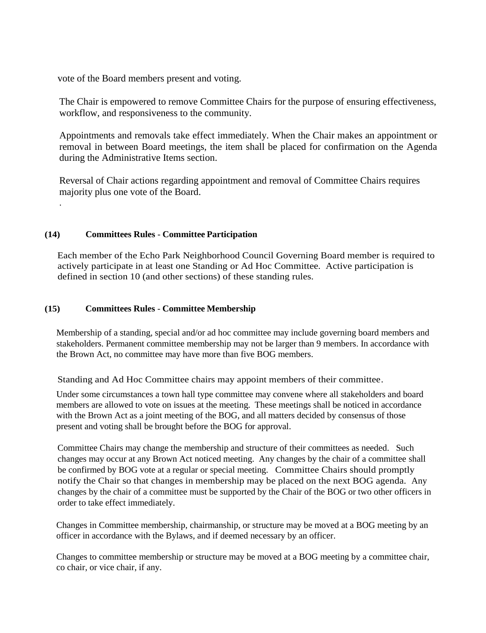vote of the Board members present and voting.

The Chair is empowered to remove Committee Chairs for the purpose of ensuring effectiveness, workflow, and responsiveness to the community.

Appointments and removals take effect immediately. When the Chair makes an appointment or removal in between Board meetings, the item shall be placed for confirmation on the Agenda during the Administrative Items section.

Reversal of Chair actions regarding appointment and removal of Committee Chairs requires majority plus one vote of the Board.

### **(14) Committees Rules** - **Committee Participation**

.

Each member of the Echo Park Neighborhood Council Governing Board member is required to actively participate in at least one Standing or Ad Hoc Committee. Active participation is defined in section 10 (and other sections) of these standing rules.

### **(15) Committees Rules** - **Committee Membership**

Membership of a standing, special and/or ad hoc committee may include governing board members and stakeholders. Permanent committee membership may not be larger than 9 members. In accordance with the Brown Act, no committee may have more than five BOG members.

Standing and Ad Hoc Committee chairs may appoint members of their committee.

Under some circumstances a town hall type committee may convene where all stakeholders and board members are allowed to vote on issues at the meeting. These meetings shall be noticed in accordance with the Brown Act as a joint meeting of the BOG, and all matters decided by consensus of those present and voting shall be brought before the BOG for approval.

Committee Chairs may change the membership and structure of their committees as needed. Such changes may occur at any Brown Act noticed meeting. Any changes by the chair of a committee shall be confirmed by BOG vote at a regular or special meeting. Committee Chairs should promptly notify the Chair so that changes in membership may be placed on the next BOG agenda. Any changes by the chair of a committee must be supported by the Chair of the BOG or two other officers in order to take effect immediately.

Changes in Committee membership, chairmanship, or structure may be moved at a BOG meeting by an officer in accordance with the Bylaws, and if deemed necessary by an officer.

Changes to committee membership or structure may be moved at a BOG meeting by a committee chair, co chair, or vice chair, if any.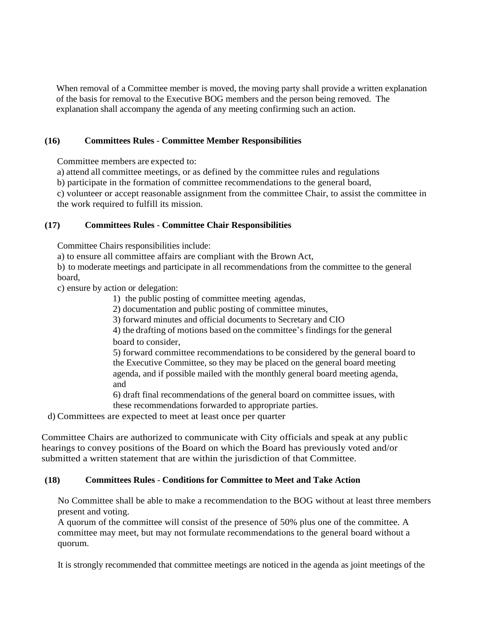When removal of a Committee member is moved, the moving party shall provide a written explanation of the basis for removal to the Executive BOG members and the person being removed. The explanation shall accompany the agenda of any meeting confirming such an action.

### **(16) Committees Rules** - **Committee Member Responsibilities**

Committee members are expected to:

a) attend all committee meetings, or as defined by the committee rules and regulations

b) participate in the formation of committee recommendations to the general board,

c) volunteer or accept reasonable assignment from the committee Chair, to assist the committee in the work required to fulfill its mission.

### **(17) Committees Rules** - **Committee Chair Responsibilities**

Committee Chairs responsibilities include:

a) to ensure all committee affairs are compliant with the Brown Act,

b) to moderate meetings and participate in all recommendations from the committee to the general board,

c) ensure by action or delegation:

- 1) the public posting of committee meeting agendas,
- 2) documentation and public posting of committee minutes,
- 3) forward minutes and official documents to Secretary and CIO

4) the drafting of motions based on the committee's findings for the general board to consider,

5) forward committee recommendations to be considered by the general board to the Executive Committee, so they may be placed on the general board meeting agenda, and if possible mailed with the monthly general board meeting agenda, and

6) draft final recommendations of the general board on committee issues, with these recommendations forwarded to appropriate parties.

d) Committees are expected to meet at least once per quarter

Committee Chairs are authorized to communicate with City officials and speak at any public hearings to convey positions of the Board on which the Board has previously voted and/or submitted a written statement that are within the jurisdiction of that Committee.

#### **(18) Committees Rules** - **Conditions for Committee to Meet and Take Action**

No Committee shall be able to make a recommendation to the BOG without at least three members present and voting.

A quorum of the committee will consist of the presence of 50% plus one of the committee. A committee may meet, but may not formulate recommendations to the general board without a quorum.

It is strongly recommended that committee meetings are noticed in the agenda as joint meetings of the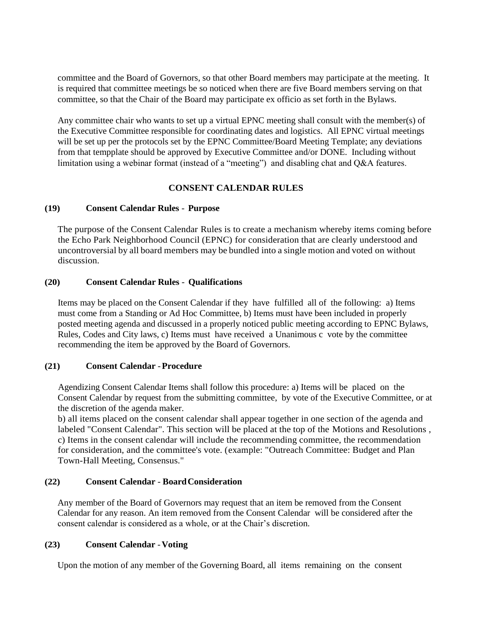committee and the Board of Governors, so that other Board members may participate at the meeting. It is required that committee meetings be so noticed when there are five Board members serving on that committee, so that the Chair of the Board may participate ex officio as set forth in the Bylaws.

Any committee chair who wants to set up a virtual EPNC meeting shall consult with the member(s) of the Executive Committee responsible for coordinating dates and logistics. All EPNC virtual meetings will be set up per the protocols set by the EPNC Committee/Board Meeting Template; any deviations from that tempplate should be approved by Executive Committee and/or DONE. Including without limitation using a webinar format (instead of a "meeting") and disabling chat and Q&A features.

### **CONSENT CALENDAR RULES**

#### **(19) Consent Calendar Rules** - **Purpose**

The purpose of the Consent Calendar Rules is to create a mechanism whereby items coming before the Echo Park Neighborhood Council (EPNC) for consideration that are clearly understood and uncontroversial by all board members may be bundled into a single motion and voted on without discussion.

### **(20) Consent Calendar Rules** - **Qualifications**

Items may be placed on the Consent Calendar if they have fulfilled all of the following: a) Items must come from a Standing or Ad Hoc Committee, b) Items must have been included in properly posted meeting agenda and discussed in a properly noticed public meeting according to EPNC Bylaws, Rules, Codes and City laws, c) Items must have received a Unanimous c vote by the committee recommending the item be approved by the Board of Governors.

#### **(21) Consent Calendar** -**Procedure**

Agendizing Consent Calendar Items shall follow this procedure: a) Items will be placed on the Consent Calendar by request from the submitting committee, by vote of the Executive Committee, or at the discretion of the agenda maker.

b) all items placed on the consent calendar shall appear together in one section of the agenda and labeled "Consent Calendar". This section will be placed at the top of the Motions and Resolutions , c) Items in the consent calendar will include the recommending committee, the recommendation for consideration, and the committee's vote. (example: "Outreach Committee: Budget and Plan Town-Hall Meeting, Consensus."

#### **(22) Consent Calendar** - **BoardConsideration**

Any member of the Board of Governors may request that an item be removed from the Consent Calendar for any reason. An item removed from the Consent Calendar will be considered after the consent calendar is considered as a whole, or at the Chair's discretion.

#### **(23) Consent Calendar** -**Voting**

Upon the motion of any member of the Governing Board, all items remaining on the consent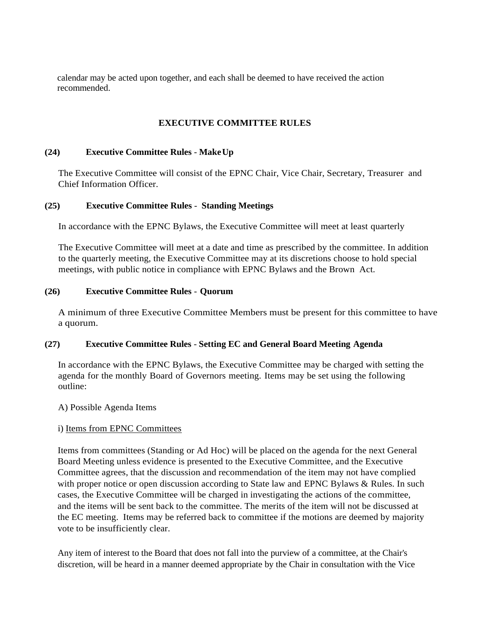calendar may be acted upon together, and each shall be deemed to have received the action recommended.

## **EXECUTIVE COMMITTEE RULES**

### **(24) Executive Committee Rules** - **MakeUp**

The Executive Committee will consist of the EPNC Chair, Vice Chair, Secretary, Treasurer and Chief Information Officer.

### **(25) Executive Committee Rules** - **Standing Meetings**

In accordance with the EPNC Bylaws, the Executive Committee will meet at least quarterly

The Executive Committee will meet at a date and time as prescribed by the committee. In addition to the quarterly meeting, the Executive Committee may at its discretions choose to hold special meetings, with public notice in compliance with EPNC Bylaws and the Brown Act.

### **(26) Executive Committee Rules** - **Quorum**

A minimum of three Executive Committee Members must be present for this committee to have a quorum.

#### **(27) Executive Committee Rules** - **Setting EC and General Board Meeting Agenda**

In accordance with the EPNC Bylaws, the Executive Committee may be charged with setting the agenda for the monthly Board of Governors meeting. Items may be set using the following outline:

#### A) Possible Agenda Items

#### i) Items from EPNC Committees

Items from committees (Standing or Ad Hoc) will be placed on the agenda for the next General Board Meeting unless evidence is presented to the Executive Committee, and the Executive Committee agrees, that the discussion and recommendation of the item may not have complied with proper notice or open discussion according to State law and EPNC Bylaws & Rules. In such cases, the Executive Committee will be charged in investigating the actions of the committee, and the items will be sent back to the committee. The merits of the item will not be discussed at the EC meeting. Items may be referred back to committee if the motions are deemed by majority vote to be insufficiently clear.

Any item of interest to the Board that does not fall into the purview of a committee, at the Chair's discretion, will be heard in a manner deemed appropriate by the Chair in consultation with the Vice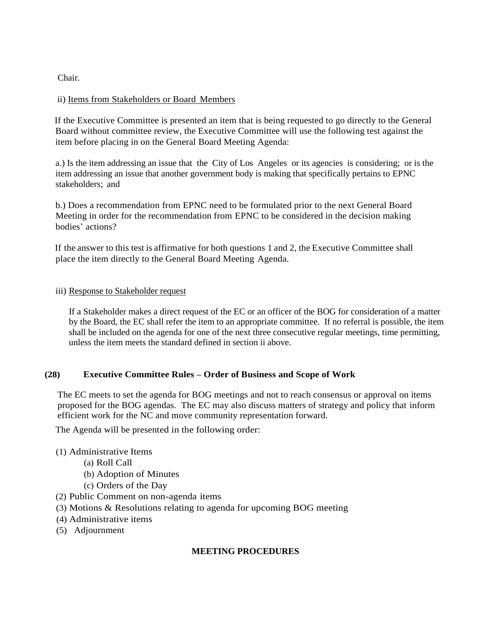Chair.

### ii) Items from Stakeholders or Board Members

If the Executive Committee is presented an item that is being requested to go directly to the General Board without committee review, the Executive Committee will use the following test against the item before placing in on the General Board Meeting Agenda:

a.) Is the item addressing an issue that the City of Los Angeles or its agencies is considering; or is the item addressing an issue that another government body is making that specifically pertains to EPNC stakeholders; and

b.) Does a recommendation from EPNC need to be formulated prior to the next General Board Meeting in order for the recommendation from EPNC to be considered in the decision making bodies' actions?

If the answer to this test is affirmative for both questions 1 and 2, the Executive Committee shall place the item directly to the General Board Meeting Agenda.

#### iii) Response to Stakeholder request

If a Stakeholder makes a direct request of the EC or an officer of the BOG for consideration of a matter by the Board, the EC shall refer the item to an appropriate committee. If no referral is possible, the item shall be included on the agenda for one of the next three consecutive regular meetings, time permitting, unless the item meets the standard defined in section ii above.

#### **(28) Executive Committee Rules – Order of Business and Scope of Work**

The EC meets to set the agenda for BOG meetings and not to reach consensus or approval on items proposed for the BOG agendas. The EC may also discuss matters of strategy and policy that inform efficient work for the NC and move community representation forward.

The Agenda will be presented in the following order:

- (1) Administrative Items
	- (a) Roll Call
	- (b) Adoption of Minutes
	- (c) Orders of the Day
- (2) Public Comment on non-agenda items
- (3) Motions & Resolutions relating to agenda for upcoming BOG meeting
- (4) Administrative items
- (5) Adjournment

#### **MEETING PROCEDURES**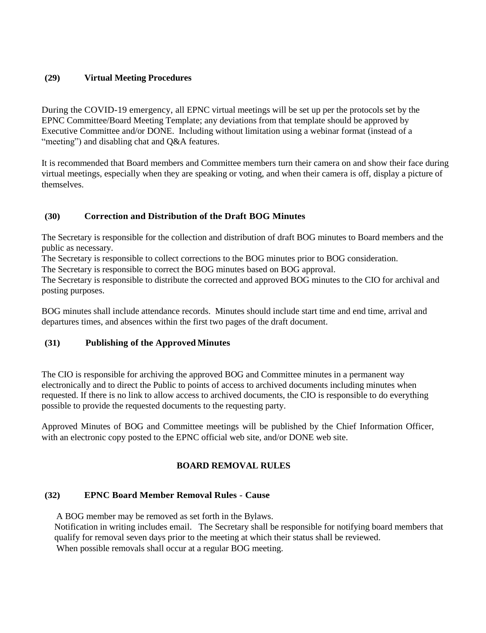## **(29) Virtual Meeting Procedures**

During the COVID-19 emergency, all EPNC virtual meetings will be set up per the protocols set by the EPNC Committee/Board Meeting Template; any deviations from that template should be approved by Executive Committee and/or DONE. Including without limitation using a webinar format (instead of a "meeting") and disabling chat and O&A features.

It is recommended that Board members and Committee members turn their camera on and show their face during virtual meetings, especially when they are speaking or voting, and when their camera is off, display a picture of themselves.

# **(30) Correction and Distribution of the Draft BOG Minutes**

The Secretary is responsible for the collection and distribution of draft BOG minutes to Board members and the public as necessary.

The Secretary is responsible to collect corrections to the BOG minutes prior to BOG consideration.

The Secretary is responsible to correct the BOG minutes based on BOG approval.

The Secretary is responsible to distribute the corrected and approved BOG minutes to the CIO for archival and posting purposes.

BOG minutes shall include attendance records. Minutes should include start time and end time, arrival and departures times, and absences within the first two pages of the draft document.

# **(31) Publishing of the Approved Minutes**

The CIO is responsible for archiving the approved BOG and Committee minutes in a permanent way electronically and to direct the Public to points of access to archived documents including minutes when requested. If there is no link to allow access to archived documents, the CIO is responsible to do everything possible to provide the requested documents to the requesting party.

Approved Minutes of BOG and Committee meetings will be published by the Chief Information Officer, with an electronic copy posted to the EPNC official web site, and/or DONE web site.

# **BOARD REMOVAL RULES**

# **(32) EPNC Board Member Removal Rules** - **Cause**

A BOG member may be removed as set forth in the Bylaws.

Notification in writing includes email. The Secretary shall be responsible for notifying board members that qualify for removal seven days prior to the meeting at which their status shall be reviewed. When possible removals shall occur at a regular BOG meeting.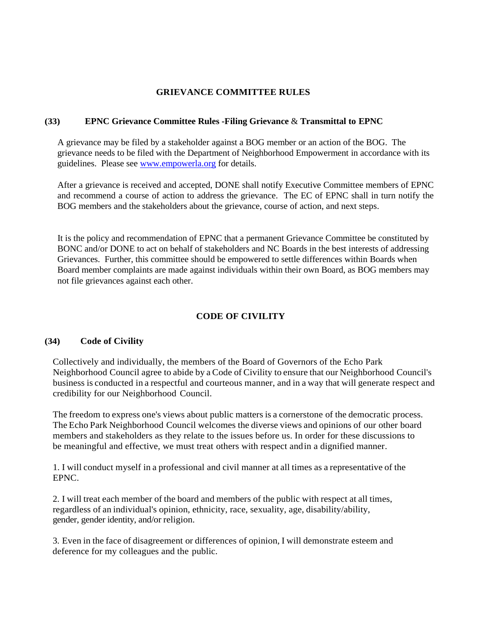#### **GRIEVANCE COMMITTEE RULES**

#### **(33) EPNC Grievance Committee Rules -Filing Grievance** & **Transmittal to EPNC**

A grievance may be filed by a stakeholder against a BOG member or an action of the BOG. The grievance needs to be filed with the Department of Neighborhood Empowerment in accordance with its guidelines. Please see [www.empowerla.org](http://www.empowerla.org/) for details.

After a grievance is received and accepted, DONE shall notify Executive Committee members of EPNC and recommend a course of action to address the grievance. The EC of EPNC shall in turn notify the BOG members and the stakeholders about the grievance, course of action, and next steps.

It is the policy and recommendation of EPNC that a permanent Grievance Committee be constituted by BONC and/or DONE to act on behalf of stakeholders and NC Boards in the best interests of addressing Grievances. Further, this committee should be empowered to settle differences within Boards when Board member complaints are made against individuals within their own Board, as BOG members may not file grievances against each other.

# **CODE OF CIVILITY**

## **(34) Code of Civility**

Collectively and individually, the members of the Board of Governors of the Echo Park Neighborhood Council agree to abide by a Code of Civility to ensure that our Neighborhood Council's business is conducted in a respectful and courteous manner, and in a way that will generate respect and credibility for our Neighborhood Council.

The freedom to express one's views about public matters is a cornerstone of the democratic process. The Echo Park Neighborhood Council welcomes the diverse views and opinions of our other board members and stakeholders as they relate to the issues before us. In order for these discussions to be meaningful and effective, we must treat others with respect andin a dignified manner.

1. I will conduct myself in a professional and civil manner at all times as a representative of the EPNC.

2. I will treat each member of the board and members of the public with respect at all times, regardless of an individual's opinion, ethnicity, race, sexuality, age, disability/ability, gender, gender identity, and/or religion.

3. Even in the face of disagreement or differences of opinion, I will demonstrate esteem and deference for my colleagues and the public.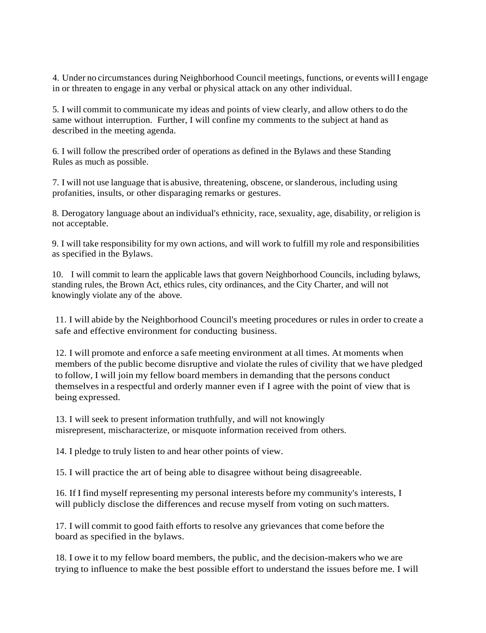4. Under no circumstances during Neighborhood Council meetings, functions, or events willI engage in or threaten to engage in any verbal or physical attack on any other individual.

5. I will commit to communicate my ideas and points of view clearly, and allow others to do the same without interruption. Further, I will confine my comments to the subject at hand as described in the meeting agenda.

6. I will follow the prescribed order of operations as defined in the Bylaws and these Standing Rules as much as possible.

7. I will not use language that is abusive, threatening, obscene, orslanderous, including using profanities, insults, or other disparaging remarks or gestures.

8. Derogatory language about an individual's ethnicity, race, sexuality, age, disability, or religion is not acceptable.

9. I will take responsibility for my own actions, and will work to fulfill my role and responsibilities as specified in the Bylaws.

10. I will commit to learn the applicable laws that govern Neighborhood Councils, including bylaws, standing rules, the Brown Act, ethics rules, city ordinances, and the City Charter, and will not knowingly violate any of the above.

11. I will abide by the Neighborhood Council's meeting procedures or rules in order to create a safe and effective environment for conducting business.

12. I will promote and enforce a safe meeting environment at all times. At moments when members of the public become disruptive and violate the rules of civility that we have pledged to follow, I will join my fellow board members in demanding that the persons conduct themselves in a respectful and orderly manner even if I agree with the point of view that is being expressed.

13. I will seek to present information truthfully, and will not knowingly misrepresent, mischaracterize, or misquote information received from others.

14. I pledge to truly listen to and hear other points of view.

15. I will practice the art of being able to disagree without being disagreeable.

16. If I find myself representing my personal interests before my community's interests, I will publicly disclose the differences and recuse myself from voting on such matters.

17. I will commit to good faith efforts to resolve any grievances that come before the board as specified in the bylaws.

18. I owe it to my fellow board members, the public, and the decision-makers who we are trying to influence to make the best possible effort to understand the issues before me. I will